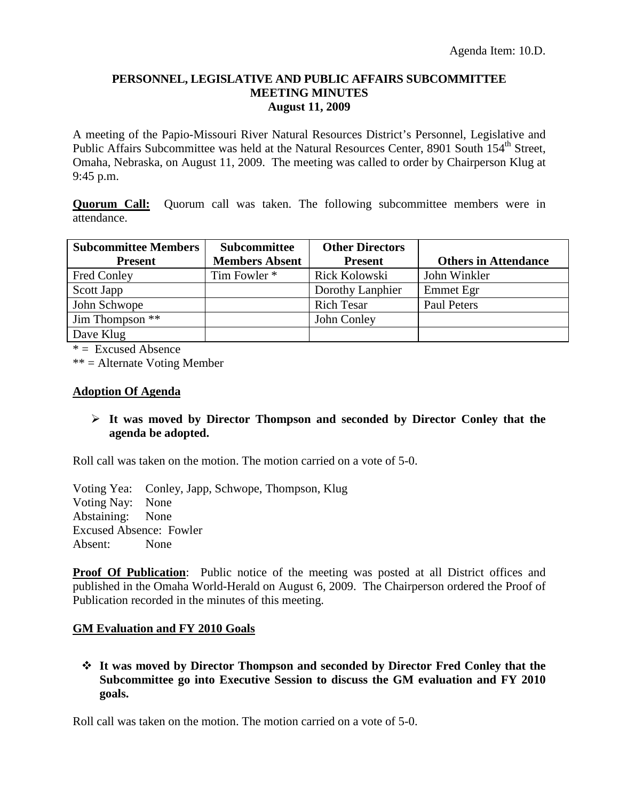### **PERSONNEL, LEGISLATIVE AND PUBLIC AFFAIRS SUBCOMMITTEE MEETING MINUTES August 11, 2009**

A meeting of the Papio-Missouri River Natural Resources District's Personnel, Legislative and Public Affairs Subcommittee was held at the Natural Resources Center, 8901 South 154<sup>th</sup> Street, Omaha, Nebraska, on August 11, 2009. The meeting was called to order by Chairperson Klug at 9:45 p.m.

**Quorum Call:** Quorum call was taken. The following subcommittee members were in attendance.

| <b>Subcommittee Members</b> | Subcommittee          | <b>Other Directors</b> |                             |
|-----------------------------|-----------------------|------------------------|-----------------------------|
| <b>Present</b>              | <b>Members Absent</b> | <b>Present</b>         | <b>Others in Attendance</b> |
| Fred Conley                 | Tim Fowler *          | Rick Kolowski          | John Winkler                |
| Scott Japp                  |                       | Dorothy Lanphier       | Emmet Egr                   |
| John Schwope                |                       | <b>Rich Tesar</b>      | <b>Paul Peters</b>          |
| Jim Thompson **             |                       | John Conley            |                             |
| Dave Klug                   |                       |                        |                             |

 $* =$  Excused Absence

\*\* = Alternate Voting Member

### **Adoption Of Agenda**

## **It was moved by Director Thompson and seconded by Director Conley that the agenda be adopted.**

Roll call was taken on the motion. The motion carried on a vote of 5-0.

Voting Yea: Conley, Japp, Schwope, Thompson, Klug Voting Nay: None Abstaining: None Excused Absence: Fowler Absent: None

**Proof Of Publication:** Public notice of the meeting was posted at all District offices and published in the Omaha World-Herald on August 6, 2009. The Chairperson ordered the Proof of Publication recorded in the minutes of this meeting.

# **GM Evaluation and FY 2010 Goals**

 **It was moved by Director Thompson and seconded by Director Fred Conley that the Subcommittee go into Executive Session to discuss the GM evaluation and FY 2010 goals.** 

Roll call was taken on the motion. The motion carried on a vote of 5-0.